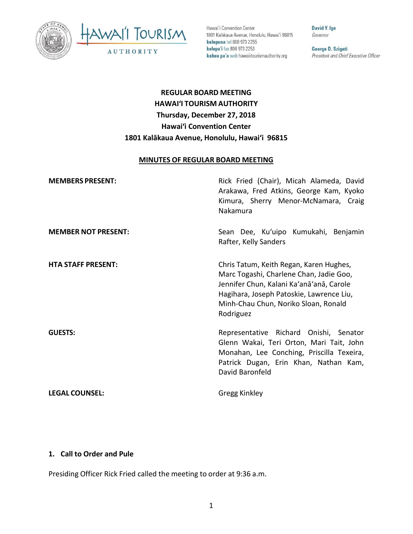



Hawai'i Convention Center 1801 Kalākaua Avenue, Honolulu, Hawai'i 96815 kelepona tel 808 973 2255 kelepa'i fax 808 973 2253 kahua pa'a web hawaiitourismauthority.org

David Y. Ige Governor

George D. Szigeti President and Chief Executive Officer

# **REGULAR BOARD MEETING HAWAI'I TOURISM AUTHORITY Thursday, December 27, 2018 Hawai'i Convention Center 1801 Kalākaua Avenue, Honolulu, Hawai'i 96815**

#### **MINUTES OF REGULAR BOARD MEETING**

| <b>MEMBERS PRESENT:</b>    | Rick Fried (Chair), Micah Alameda, David<br>Arakawa, Fred Atkins, George Kam, Kyoko<br>Kimura, Sherry Menor-McNamara, Craig<br>Nakamura                                                                                         |
|----------------------------|---------------------------------------------------------------------------------------------------------------------------------------------------------------------------------------------------------------------------------|
| <b>MEMBER NOT PRESENT:</b> | Sean Dee, Ku'uipo Kumukahi, Benjamin<br>Rafter, Kelly Sanders                                                                                                                                                                   |
| <b>HTA STAFF PRESENT:</b>  | Chris Tatum, Keith Regan, Karen Hughes,<br>Marc Togashi, Charlene Chan, Jadie Goo,<br>Jennifer Chun, Kalani Ka'anā'anā, Carole<br>Hagihara, Joseph Patoskie, Lawrence Liu,<br>Minh-Chau Chun, Noriko Sloan, Ronald<br>Rodriguez |
| <b>GUESTS:</b>             | Representative Richard Onishi, Senator<br>Glenn Wakai, Teri Orton, Mari Tait, John<br>Monahan, Lee Conching, Priscilla Texeira,<br>Patrick Dugan, Erin Khan, Nathan Kam,<br>David Baronfeld                                     |
| <b>LEGAL COUNSEL:</b>      | Gregg Kinkley                                                                                                                                                                                                                   |

### **1. Call to Order and Pule**

Presiding Officer Rick Fried called the meeting to order at 9:36 a.m.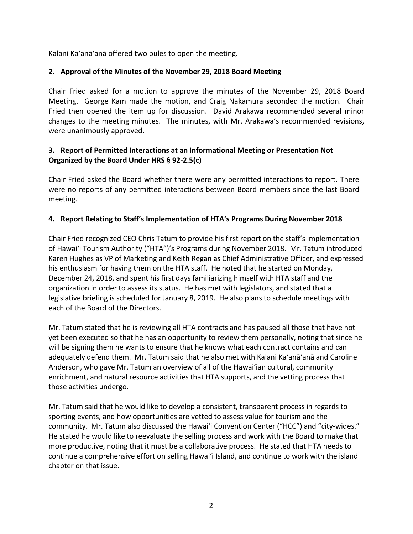Kalani Ka'anā'anā offered two pules to open the meeting.

### **2. Approval of the Minutes of the November 29, 2018 Board Meeting**

Chair Fried asked for a motion to approve the minutes of the November 29, 2018 Board Meeting. George Kam made the motion, and Craig Nakamura seconded the motion. Chair Fried then opened the item up for discussion. David Arakawa recommended several minor changes to the meeting minutes. The minutes, with Mr. Arakawa's recommended revisions, were unanimously approved.

## **3. Report of Permitted Interactions at an Informational Meeting or Presentation Not Organized by the Board Under HRS § 92-2.5(c)**

Chair Fried asked the Board whether there were any permitted interactions to report. There were no reports of any permitted interactions between Board members since the last Board meeting.

### **4. Report Relating to Staff's Implementation of HTA's Programs During November 2018**

Chair Fried recognized CEO Chris Tatum to provide his first report on the staff's implementation of Hawai'i Tourism Authority ("HTA")'s Programs during November 2018. Mr. Tatum introduced Karen Hughes as VP of Marketing and Keith Regan as Chief Administrative Officer, and expressed his enthusiasm for having them on the HTA staff. He noted that he started on Monday, December 24, 2018, and spent his first days familiarizing himself with HTA staff and the organization in order to assess its status. He has met with legislators, and stated that a legislative briefing is scheduled for January 8, 2019. He also plans to schedule meetings with each of the Board of the Directors.

Mr. Tatum stated that he is reviewing all HTA contracts and has paused all those that have not yet been executed so that he has an opportunity to review them personally, noting that since he will be signing them he wants to ensure that he knows what each contract contains and can adequately defend them. Mr. Tatum said that he also met with Kalani Ka'anā'anā and Caroline Anderson, who gave Mr. Tatum an overview of all of the Hawai'ian cultural, community enrichment, and natural resource activities that HTA supports, and the vetting process that those activities undergo.

Mr. Tatum said that he would like to develop a consistent, transparent process in regards to sporting events, and how opportunities are vetted to assess value for tourism and the community. Mr. Tatum also discussed the Hawai'i Convention Center ("HCC") and "city-wides." He stated he would like to reevaluate the selling process and work with the Board to make that more productive, noting that it must be a collaborative process. He stated that HTA needs to continue a comprehensive effort on selling Hawai'i Island, and continue to work with the island chapter on that issue.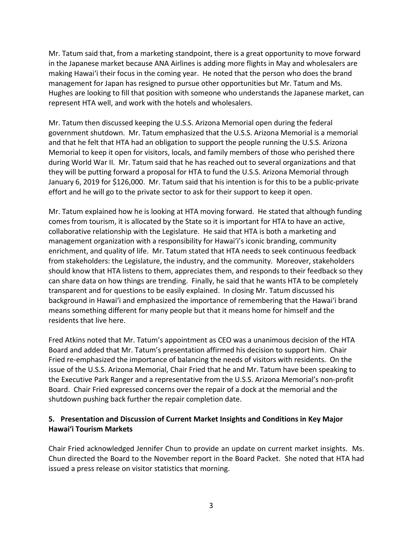Mr. Tatum said that, from a marketing standpoint, there is a great opportunity to move forward in the Japanese market because ANA Airlines is adding more flights in May and wholesalers are making Hawai'i their focus in the coming year. He noted that the person who does the brand management for Japan has resigned to pursue other opportunities but Mr. Tatum and Ms. Hughes are looking to fill that position with someone who understands the Japanese market, can represent HTA well, and work with the hotels and wholesalers.

Mr. Tatum then discussed keeping the U.S.S. Arizona Memorial open during the federal government shutdown. Mr. Tatum emphasized that the U.S.S. Arizona Memorial is a memorial and that he felt that HTA had an obligation to support the people running the U.S.S. Arizona Memorial to keep it open for visitors, locals, and family members of those who perished there during World War II. Mr. Tatum said that he has reached out to several organizations and that they will be putting forward a proposal for HTA to fund the U.S.S. Arizona Memorial through January 6, 2019 for \$126,000. Mr. Tatum said that his intention is for this to be a public-private effort and he will go to the private sector to ask for their support to keep it open.

Mr. Tatum explained how he is looking at HTA moving forward. He stated that although funding comes from tourism, it is allocated by the State so it is important for HTA to have an active, collaborative relationship with the Legislature. He said that HTA is both a marketing and management organization with a responsibility for Hawai'i's iconic branding, community enrichment, and quality of life. Mr. Tatum stated that HTA needs to seek continuous feedback from stakeholders: the Legislature, the industry, and the community. Moreover, stakeholders should know that HTA listens to them, appreciates them, and responds to their feedback so they can share data on how things are trending. Finally, he said that he wants HTA to be completely transparent and for questions to be easily explained. In closing Mr. Tatum discussed his background in Hawai'i and emphasized the importance of remembering that the Hawai'i brand means something different for many people but that it means home for himself and the residents that live here.

Fred Atkins noted that Mr. Tatum's appointment as CEO was a unanimous decision of the HTA Board and added that Mr. Tatum's presentation affirmed his decision to support him. Chair Fried re-emphasized the importance of balancing the needs of visitors with residents. On the issue of the U.S.S. Arizona Memorial, Chair Fried that he and Mr. Tatum have been speaking to the Executive Park Ranger and a representative from the U.S.S. Arizona Memorial's non-profit Board. Chair Fried expressed concerns over the repair of a dock at the memorial and the shutdown pushing back further the repair completion date.

### **5. Presentation and Discussion of Current Market Insights and Conditions in Key Major Hawai'i Tourism Markets**

Chair Fried acknowledged Jennifer Chun to provide an update on current market insights. Ms. Chun directed the Board to the November report in the Board Packet. She noted that HTA had issued a press release on visitor statistics that morning.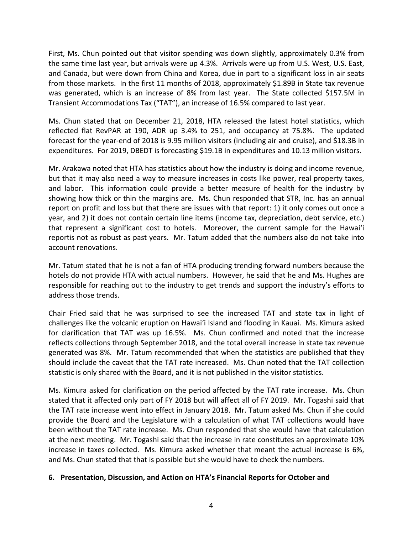First, Ms. Chun pointed out that visitor spending was down slightly, approximately 0.3% from the same time last year, but arrivals were up 4.3%. Arrivals were up from U.S. West, U.S. East, and Canada, but were down from China and Korea, due in part to a significant loss in air seats from those markets. In the first 11 months of 2018, approximately \$1.89B in State tax revenue was generated, which is an increase of 8% from last year. The State collected \$157.5M in Transient Accommodations Tax ("TAT"), an increase of 16.5% compared to last year.

Ms. Chun stated that on December 21, 2018, HTA released the latest hotel statistics, which reflected flat RevPAR at 190, ADR up 3.4% to 251, and occupancy at 75.8%. The updated forecast for the year-end of 2018 is 9.95 million visitors (including air and cruise), and \$18.3B in expenditures. For 2019, DBEDT is forecasting \$19.1B in expenditures and 10.13 million visitors.

Mr. Arakawa noted that HTA has statistics about how the industry is doing and income revenue, but that it may also need a way to measure increases in costs like power, real property taxes, and labor. This information could provide a better measure of health for the industry by showing how thick or thin the margins are. Ms. Chun responded that STR, Inc. has an annual report on profit and loss but that there are issues with that report: 1) it only comes out once a year, and 2) it does not contain certain line items (income tax, depreciation, debt service, etc.) that represent a significant cost to hotels. Moreover, the current sample for the Hawai'i reportis not as robust as past years. Mr. Tatum added that the numbers also do not take into account renovations.

Mr. Tatum stated that he is not a fan of HTA producing trending forward numbers because the hotels do not provide HTA with actual numbers. However, he said that he and Ms. Hughes are responsible for reaching out to the industry to get trends and support the industry's efforts to address those trends.

Chair Fried said that he was surprised to see the increased TAT and state tax in light of challenges like the volcanic eruption on Hawai'i Island and flooding in Kauai. Ms. Kimura asked for clarification that TAT was up 16.5%. Ms. Chun confirmed and noted that the increase reflects collections through September 2018, and the total overall increase in state tax revenue generated was 8%. Mr. Tatum recommended that when the statistics are published that they should include the caveat that the TAT rate increased. Ms. Chun noted that the TAT collection statistic is only shared with the Board, and it is not published in the visitor statistics.

Ms. Kimura asked for clarification on the period affected by the TAT rate increase. Ms. Chun stated that it affected only part of FY 2018 but will affect all of FY 2019. Mr. Togashi said that the TAT rate increase went into effect in January 2018. Mr. Tatum asked Ms. Chun if she could provide the Board and the Legislature with a calculation of what TAT collections would have been without the TAT rate increase. Ms. Chun responded that she would have that calculation at the next meeting. Mr. Togashi said that the increase in rate constitutes an approximate 10% increase in taxes collected. Ms. Kimura asked whether that meant the actual increase is 6%, and Ms. Chun stated that that is possible but she would have to check the numbers.

### **6. Presentation, Discussion, and Action on HTA's Financial Reports for October and**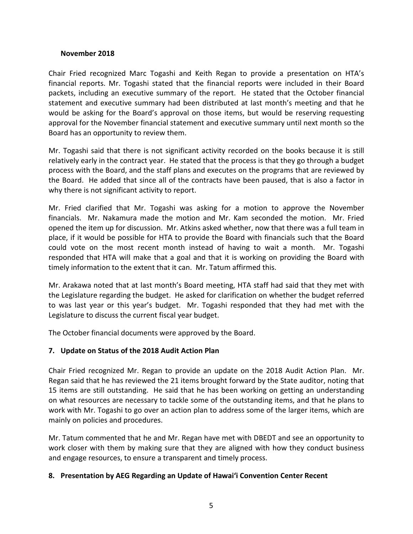#### **November 2018**

Chair Fried recognized Marc Togashi and Keith Regan to provide a presentation on HTA's financial reports. Mr. Togashi stated that the financial reports were included in their Board packets, including an executive summary of the report. He stated that the October financial statement and executive summary had been distributed at last month's meeting and that he would be asking for the Board's approval on those items, but would be reserving requesting approval for the November financial statement and executive summary until next month so the Board has an opportunity to review them.

Mr. Togashi said that there is not significant activity recorded on the books because it is still relatively early in the contract year. He stated that the process is that they go through a budget process with the Board, and the staff plans and executes on the programs that are reviewed by the Board. He added that since all of the contracts have been paused, that is also a factor in why there is not significant activity to report.

Mr. Fried clarified that Mr. Togashi was asking for a motion to approve the November financials. Mr. Nakamura made the motion and Mr. Kam seconded the motion. Mr. Fried opened the item up for discussion. Mr. Atkins asked whether, now that there was a full team in place, if it would be possible for HTA to provide the Board with financials such that the Board could vote on the most recent month instead of having to wait a month. Mr. Togashi responded that HTA will make that a goal and that it is working on providing the Board with timely information to the extent that it can. Mr. Tatum affirmed this.

Mr. Arakawa noted that at last month's Board meeting, HTA staff had said that they met with the Legislature regarding the budget. He asked for clarification on whether the budget referred to was last year or this year's budget. Mr. Togashi responded that they had met with the Legislature to discuss the current fiscal year budget.

The October financial documents were approved by the Board.

### **7. Update on Status of the 2018 Audit Action Plan**

Chair Fried recognized Mr. Regan to provide an update on the 2018 Audit Action Plan. Mr. Regan said that he has reviewed the 21 items brought forward by the State auditor, noting that 15 items are still outstanding. He said that he has been working on getting an understanding on what resources are necessary to tackle some of the outstanding items, and that he plans to work with Mr. Togashi to go over an action plan to address some of the larger items, which are mainly on policies and procedures.

Mr. Tatum commented that he and Mr. Regan have met with DBEDT and see an opportunity to work closer with them by making sure that they are aligned with how they conduct business and engage resources, to ensure a transparent and timely process.

### **8. Presentation by AEG Regarding an Update of Hawai'i Convention Center Recent**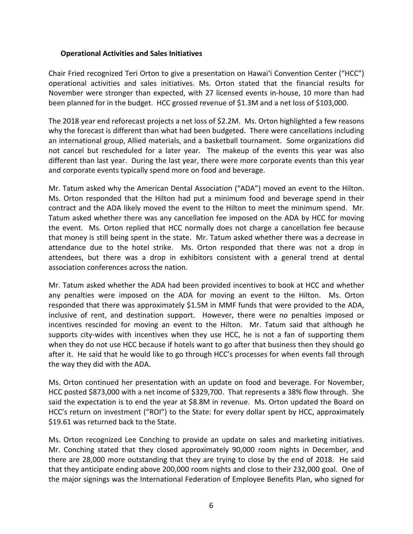#### **Operational Activities and Sales Initiatives**

Chair Fried recognized Teri Orton to give a presentation on Hawai'i Convention Center ("HCC") operational activities and sales initiatives. Ms. Orton stated that the financial results for November were stronger than expected, with 27 licensed events in-house, 10 more than had been planned for in the budget. HCC grossed revenue of \$1.3M and a net loss of \$103,000.

The 2018 year end reforecast projects a net loss of \$2.2M. Ms. Orton highlighted a few reasons why the forecast is different than what had been budgeted. There were cancellations including an international group, Allied materials, and a basketball tournament. Some organizations did not cancel but rescheduled for a later year. The makeup of the events this year was also different than last year. During the last year, there were more corporate events than this year and corporate events typically spend more on food and beverage.

Mr. Tatum asked why the American Dental Association ("ADA") moved an event to the Hilton. Ms. Orton responded that the Hilton had put a minimum food and beverage spend in their contract and the ADA likely moved the event to the Hilton to meet the minimum spend. Mr. Tatum asked whether there was any cancellation fee imposed on the ADA by HCC for moving the event. Ms. Orton replied that HCC normally does not charge a cancellation fee because that money is still being spent in the state. Mr. Tatum asked whether there was a decrease in attendance due to the hotel strike. Ms. Orton responded that there was not a drop in attendees, but there was a drop in exhibitors consistent with a general trend at dental association conferences across the nation.

Mr. Tatum asked whether the ADA had been provided incentives to book at HCC and whether any penalties were imposed on the ADA for moving an event to the Hilton. Ms. Orton responded that there was approximately \$1.5M in MMF funds that were provided to the ADA, inclusive of rent, and destination support. However, there were no penalties imposed or incentives rescinded for moving an event to the Hilton. Mr. Tatum said that although he supports city-wides with incentives when they use HCC, he is not a fan of supporting them when they do not use HCC because if hotels want to go after that business then they should go after it. He said that he would like to go through HCC's processes for when events fall through the way they did with the ADA.

Ms. Orton continued her presentation with an update on food and beverage. For November, HCC posted \$873,000 with a net income of \$329,700. That represents a 38% flow through. She said the expectation is to end the year at \$8.8M in revenue. Ms. Orton updated the Board on HCC's return on investment ("ROI") to the State: for every dollar spent by HCC, approximately \$19.61 was returned back to the State.

Ms. Orton recognized Lee Conching to provide an update on sales and marketing initiatives. Mr. Conching stated that they closed approximately 90,000 room nights in December, and there are 28,000 more outstanding that they are trying to close by the end of 2018. He said that they anticipate ending above 200,000 room nights and close to their 232,000 goal. One of the major signings was the International Federation of Employee Benefits Plan, who signed for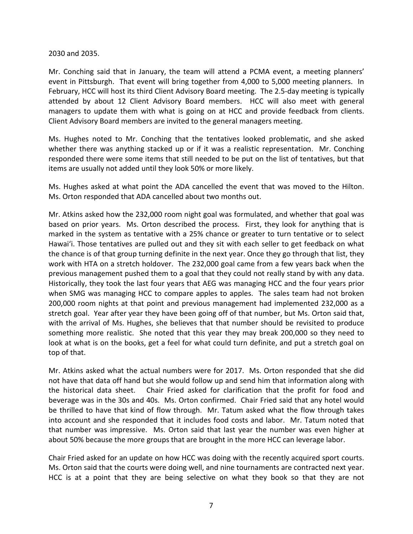2030 and 2035.

Mr. Conching said that in January, the team will attend a PCMA event, a meeting planners' event in Pittsburgh. That event will bring together from 4,000 to 5,000 meeting planners. In February, HCC will host its third Client Advisory Board meeting. The 2.5-day meeting is typically attended by about 12 Client Advisory Board members. HCC will also meet with general managers to update them with what is going on at HCC and provide feedback from clients. Client Advisory Board members are invited to the general managers meeting.

Ms. Hughes noted to Mr. Conching that the tentatives looked problematic, and she asked whether there was anything stacked up or if it was a realistic representation. Mr. Conching responded there were some items that still needed to be put on the list of tentatives, but that items are usually not added until they look 50% or more likely.

Ms. Hughes asked at what point the ADA cancelled the event that was moved to the Hilton. Ms. Orton responded that ADA cancelled about two months out.

Mr. Atkins asked how the 232,000 room night goal was formulated, and whether that goal was based on prior years. Ms. Orton described the process. First, they look for anything that is marked in the system as tentative with a 25% chance or greater to turn tentative or to select Hawai'i. Those tentatives are pulled out and they sit with each seller to get feedback on what the chance is of that group turning definite in the next year. Once they go through that list, they work with HTA on a stretch holdover. The 232,000 goal came from a few years back when the previous management pushed them to a goal that they could not really stand by with any data. Historically, they took the last four years that AEG was managing HCC and the four years prior when SMG was managing HCC to compare apples to apples. The sales team had not broken 200,000 room nights at that point and previous management had implemented 232,000 as a stretch goal. Year after year they have been going off of that number, but Ms. Orton said that, with the arrival of Ms. Hughes, she believes that that number should be revisited to produce something more realistic. She noted that this year they may break 200,000 so they need to look at what is on the books, get a feel for what could turn definite, and put a stretch goal on top of that.

Mr. Atkins asked what the actual numbers were for 2017. Ms. Orton responded that she did not have that data off hand but she would follow up and send him that information along with the historical data sheet. Chair Fried asked for clarification that the profit for food and beverage was in the 30s and 40s. Ms. Orton confirmed. Chair Fried said that any hotel would be thrilled to have that kind of flow through. Mr. Tatum asked what the flow through takes into account and she responded that it includes food costs and labor. Mr. Tatum noted that that number was impressive. Ms. Orton said that last year the number was even higher at about 50% because the more groups that are brought in the more HCC can leverage labor.

Chair Fried asked for an update on how HCC was doing with the recently acquired sport courts. Ms. Orton said that the courts were doing well, and nine tournaments are contracted next year. HCC is at a point that they are being selective on what they book so that they are not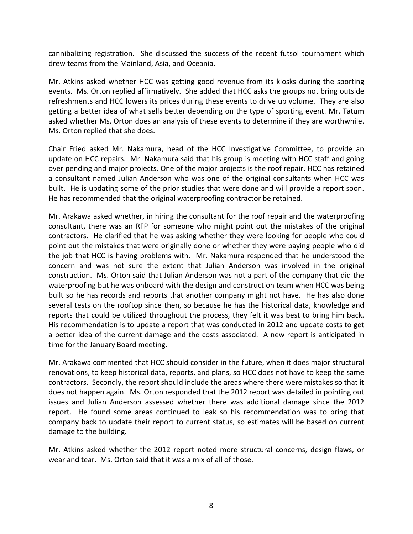cannibalizing registration. She discussed the success of the recent futsol tournament which drew teams from the Mainland, Asia, and Oceania.

Mr. Atkins asked whether HCC was getting good revenue from its kiosks during the sporting events. Ms. Orton replied affirmatively. She added that HCC asks the groups not bring outside refreshments and HCC lowers its prices during these events to drive up volume. They are also getting a better idea of what sells better depending on the type of sporting event. Mr. Tatum asked whether Ms. Orton does an analysis of these events to determine if they are worthwhile. Ms. Orton replied that she does.

Chair Fried asked Mr. Nakamura, head of the HCC Investigative Committee, to provide an update on HCC repairs. Mr. Nakamura said that his group is meeting with HCC staff and going over pending and major projects. One of the major projects is the roof repair. HCC has retained a consultant named Julian Anderson who was one of the original consultants when HCC was built. He is updating some of the prior studies that were done and will provide a report soon. He has recommended that the original waterproofing contractor be retained.

Mr. Arakawa asked whether, in hiring the consultant for the roof repair and the waterproofing consultant, there was an RFP for someone who might point out the mistakes of the original contractors. He clarified that he was asking whether they were looking for people who could point out the mistakes that were originally done or whether they were paying people who did the job that HCC is having problems with. Mr. Nakamura responded that he understood the concern and was not sure the extent that Julian Anderson was involved in the original construction. Ms. Orton said that Julian Anderson was not a part of the company that did the waterproofing but he was onboard with the design and construction team when HCC was being built so he has records and reports that another company might not have. He has also done several tests on the rooftop since then, so because he has the historical data, knowledge and reports that could be utilized throughout the process, they felt it was best to bring him back. His recommendation is to update a report that was conducted in 2012 and update costs to get a better idea of the current damage and the costs associated. A new report is anticipated in time for the January Board meeting.

Mr. Arakawa commented that HCC should consider in the future, when it does major structural renovations, to keep historical data, reports, and plans, so HCC does not have to keep the same contractors. Secondly, the report should include the areas where there were mistakes so that it does not happen again. Ms. Orton responded that the 2012 report was detailed in pointing out issues and Julian Anderson assessed whether there was additional damage since the 2012 report. He found some areas continued to leak so his recommendation was to bring that company back to update their report to current status, so estimates will be based on current damage to the building.

Mr. Atkins asked whether the 2012 report noted more structural concerns, design flaws, or wear and tear. Ms. Orton said that it was a mix of all of those.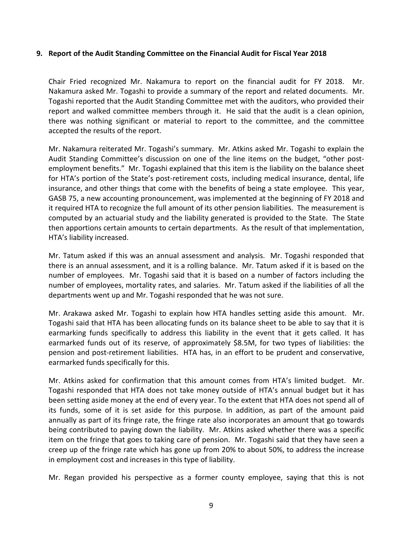#### **9. Report of the Audit Standing Committee on the Financial Audit for Fiscal Year 2018**

Chair Fried recognized Mr. Nakamura to report on the financial audit for FY 2018. Mr. Nakamura asked Mr. Togashi to provide a summary of the report and related documents. Mr. Togashi reported that the Audit Standing Committee met with the auditors, who provided their report and walked committee members through it. He said that the audit is a clean opinion, there was nothing significant or material to report to the committee, and the committee accepted the results of the report.

Mr. Nakamura reiterated Mr. Togashi's summary. Mr. Atkins asked Mr. Togashi to explain the Audit Standing Committee's discussion on one of the line items on the budget, "other postemployment benefits." Mr. Togashi explained that this item is the liability on the balance sheet for HTA's portion of the State's post-retirement costs, including medical insurance, dental, life insurance, and other things that come with the benefits of being a state employee. This year, GASB 75, a new accounting pronouncement, was implemented at the beginning of FY 2018 and it required HTA to recognize the full amount of its other pension liabilities. The measurement is computed by an actuarial study and the liability generated is provided to the State. The State then apportions certain amounts to certain departments. As the result of that implementation, HTA's liability increased.

Mr. Tatum asked if this was an annual assessment and analysis. Mr. Togashi responded that there is an annual assessment, and it is a rolling balance. Mr. Tatum asked if it is based on the number of employees. Mr. Togashi said that it is based on a number of factors including the number of employees, mortality rates, and salaries. Mr. Tatum asked if the liabilities of all the departments went up and Mr. Togashi responded that he was not sure.

Mr. Arakawa asked Mr. Togashi to explain how HTA handles setting aside this amount. Mr. Togashi said that HTA has been allocating funds on its balance sheet to be able to say that it is earmarking funds specifically to address this liability in the event that it gets called. It has earmarked funds out of its reserve, of approximately \$8.5M, for two types of liabilities: the pension and post-retirement liabilities. HTA has, in an effort to be prudent and conservative, earmarked funds specifically for this.

Mr. Atkins asked for confirmation that this amount comes from HTA's limited budget. Mr. Togashi responded that HTA does not take money outside of HTA's annual budget but it has been setting aside money at the end of every year. To the extent that HTA does not spend all of its funds, some of it is set aside for this purpose. In addition, as part of the amount paid annually as part of its fringe rate, the fringe rate also incorporates an amount that go towards being contributed to paying down the liability. Mr. Atkins asked whether there was a specific item on the fringe that goes to taking care of pension. Mr. Togashi said that they have seen a creep up of the fringe rate which has gone up from 20% to about 50%, to address the increase in employment cost and increases in this type of liability.

Mr. Regan provided his perspective as a former county employee, saying that this is not